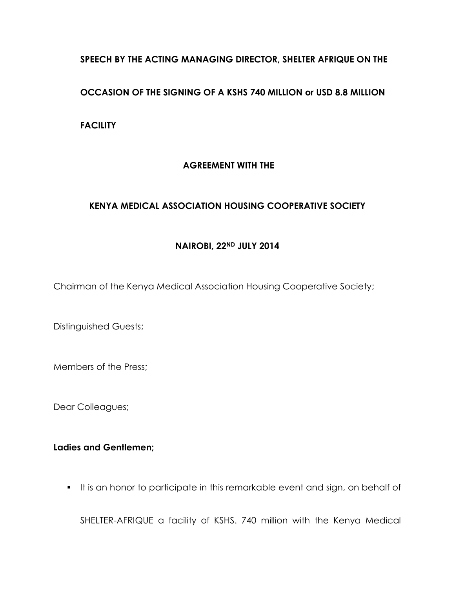### **SPEECH BY THE ACTING MANAGING DIRECTOR, SHELTER AFRIQUE ON THE**

### **OCCASION OF THE SIGNING OF A KSHS 740 MILLION or USD 8.8 MILLION**

**FACILITY**

# **AGREEMENT WITH THE**

### **KENYA MEDICAL ASSOCIATION HOUSING COOPERATIVE SOCIETY**

#### **NAIROBI, 22ND JULY 2014**

Chairman of the Kenya Medical Association Housing Cooperative Society;

Distinguished Guests;

Members of the Press;

Dear Colleagues;

# **Ladies and Gentlemen;**

It is an honor to participate in this remarkable event and sign, on behalf of

SHELTER-AFRIQUE a facility of KSHS. 740 million with the Kenya Medical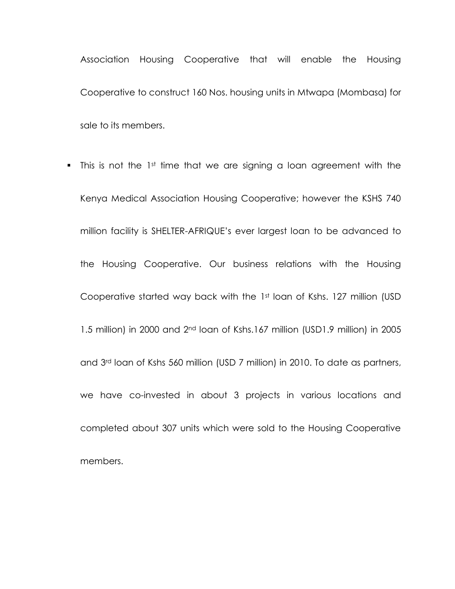Association Housing Cooperative that will enable the Housing Cooperative to construct 160 Nos. housing units in Mtwapa (Mombasa) for sale to its members.

 $\blacksquare$  This is not the 1st time that we are signing a loan agreement with the Kenya Medical Association Housing Cooperative; however the KSHS 740 million facility is SHELTER-AFRIQUE's ever largest loan to be advanced to the Housing Cooperative. Our business relations with the Housing Cooperative started way back with the 1st loan of Kshs. 127 million (USD 1.5 million) in 2000 and 2nd loan of Kshs.167 million (USD1.9 million) in 2005 and 3rd loan of Kshs 560 million (USD 7 million) in 2010. To date as partners, we have co-invested in about 3 projects in various locations and completed about 307 units which were sold to the Housing Cooperative members.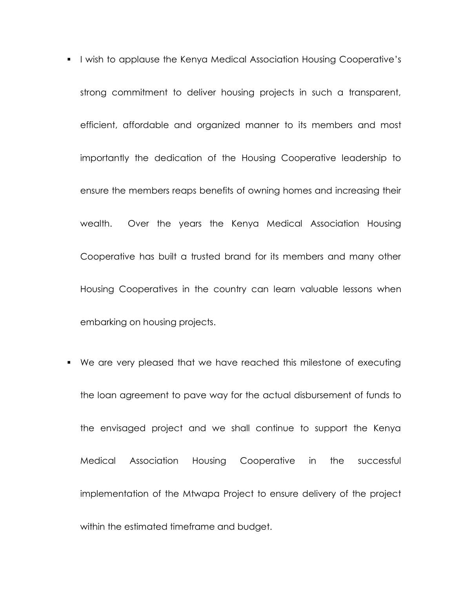- **I** wish to applause the Kenya Medical Association Housing Cooperative's strong commitment to deliver housing projects in such a transparent, efficient, affordable and organized manner to its members and most importantly the dedication of the Housing Cooperative leadership to ensure the members reaps benefits of owning homes and increasing their wealth. Over the years the Kenya Medical Association Housing Cooperative has built a trusted brand for its members and many other Housing Cooperatives in the country can learn valuable lessons when embarking on housing projects.
- We are very pleased that we have reached this milestone of executing the loan agreement to pave way for the actual disbursement of funds to the envisaged project and we shall continue to support the Kenya Medical Association Housing Cooperative in the successful implementation of the Mtwapa Project to ensure delivery of the project within the estimated timeframe and budget.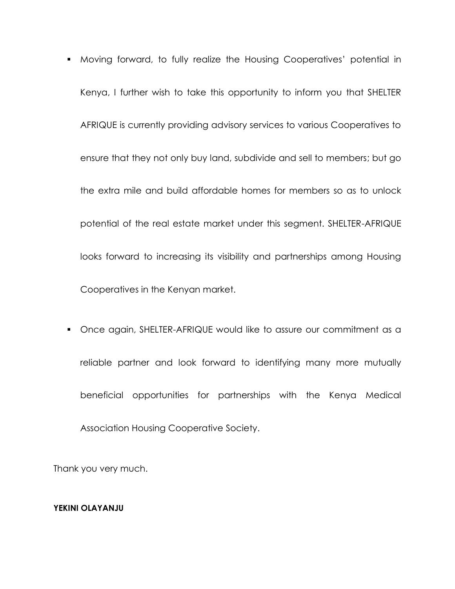- Moving forward, to fully realize the Housing Cooperatives' potential in Kenya, I further wish to take this opportunity to inform you that SHELTER AFRIQUE is currently providing advisory services to various Cooperatives to ensure that they not only buy land, subdivide and sell to members; but go the extra mile and build affordable homes for members so as to unlock potential of the real estate market under this segment. SHELTER-AFRIQUE looks forward to increasing its visibility and partnerships among Housing Cooperatives in the Kenyan market.
- Once again, SHELTER-AFRIQUE would like to assure our commitment as a reliable partner and look forward to identifying many more mutually beneficial opportunities for partnerships with the Kenya Medical Association Housing Cooperative Society.

Thank you very much.

#### **YEKINI OLAYANJU**